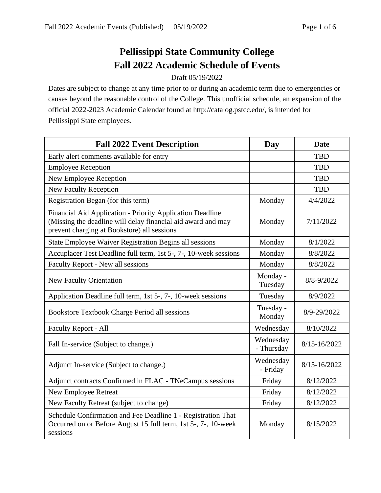## **Pellissippi State Community College Fall 2022 Academic Schedule of Events**

## Draft 05/19/2022

Dates are subject to change at any time prior to or during an academic term due to emergencies or causes beyond the reasonable control of the College. This unofficial schedule, an expansion of the official 2022-2023 Academic Calendar found at http://catalog.pstcc.edu/, is intended for Pellissippi State employees.

| <b>Fall 2022 Event Description</b>                                                                                                                                       | <b>Day</b>              | <b>Date</b>  |
|--------------------------------------------------------------------------------------------------------------------------------------------------------------------------|-------------------------|--------------|
| Early alert comments available for entry                                                                                                                                 |                         | <b>TBD</b>   |
| <b>Employee Reception</b>                                                                                                                                                |                         | <b>TBD</b>   |
| New Employee Reception                                                                                                                                                   |                         | <b>TBD</b>   |
| <b>New Faculty Reception</b>                                                                                                                                             |                         | <b>TBD</b>   |
| Registration Began (for this term)                                                                                                                                       | Monday                  | 4/4/2022     |
| Financial Aid Application - Priority Application Deadline<br>(Missing the deadline will delay financial aid award and may<br>prevent charging at Bookstore) all sessions | Monday                  | 7/11/2022    |
| State Employee Waiver Registration Begins all sessions                                                                                                                   | Monday                  | 8/1/2022     |
| Accuplacer Test Deadline full term, 1st 5-, 7-, 10-week sessions                                                                                                         | Monday                  | 8/8/2022     |
| Faculty Report - New all sessions                                                                                                                                        | Monday                  | 8/8/2022     |
| New Faculty Orientation                                                                                                                                                  | Monday -<br>Tuesday     | 8/8-9/2022   |
| Application Deadline full term, 1st 5-, 7-, 10-week sessions                                                                                                             | Tuesday                 | 8/9/2022     |
| Bookstore Textbook Charge Period all sessions                                                                                                                            | Tuesday -<br>Monday     | 8/9-29/2022  |
| <b>Faculty Report - All</b>                                                                                                                                              | Wednesday               | 8/10/2022    |
| Fall In-service (Subject to change.)                                                                                                                                     | Wednesday<br>- Thursday | 8/15-16/2022 |
| Adjunct In-service (Subject to change.)                                                                                                                                  | Wednesday<br>- Friday   | 8/15-16/2022 |
| Adjunct contracts Confirmed in FLAC - TNeCampus sessions                                                                                                                 | Friday                  | 8/12/2022    |
| <b>New Employee Retreat</b>                                                                                                                                              | Friday                  | 8/12/2022    |
| New Faculty Retreat (subject to change)                                                                                                                                  | Friday                  | 8/12/2022    |
| Schedule Confirmation and Fee Deadline 1 - Registration That<br>Occurred on or Before August 15 full term, 1st 5-, 7-, 10-week<br>sessions                               | Monday                  | 8/15/2022    |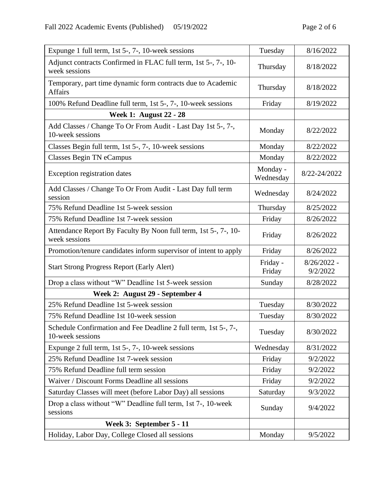| Expunge 1 full term, 1st 5-, 7-, 10-week sessions                                   | Tuesday               | 8/16/2022                 |
|-------------------------------------------------------------------------------------|-----------------------|---------------------------|
| Adjunct contracts Confirmed in FLAC full term, 1st 5-, 7-, 10-<br>week sessions     | Thursday              | 8/18/2022                 |
| Temporary, part time dynamic form contracts due to Academic<br><b>Affairs</b>       | Thursday              | 8/18/2022                 |
| 100% Refund Deadline full term, 1st 5-, 7-, 10-week sessions                        | Friday                | 8/19/2022                 |
| <b>Week 1: August 22 - 28</b>                                                       |                       |                           |
| Add Classes / Change To Or From Audit - Last Day 1st 5-, 7-,<br>10-week sessions    | Monday                | 8/22/2022                 |
| Classes Begin full term, 1st 5-, 7-, 10-week sessions                               | Monday                | 8/22/2022                 |
| Classes Begin TN eCampus                                                            | Monday                | 8/22/2022                 |
| Exception registration dates                                                        | Monday -<br>Wednesday | 8/22-24/2022              |
| Add Classes / Change To Or From Audit - Last Day full term<br>session               | Wednesday             | 8/24/2022                 |
| 75% Refund Deadline 1st 5-week session                                              | Thursday              | 8/25/2022                 |
| 75% Refund Deadline 1st 7-week session                                              | Friday                | 8/26/2022                 |
| Attendance Report By Faculty By Noon full term, 1st 5-, 7-, 10-<br>week sessions    | Friday                | 8/26/2022                 |
| Promotion/tenure candidates inform supervisor of intent to apply                    | Friday                | 8/26/2022                 |
| <b>Start Strong Progress Report (Early Alert)</b>                                   | Friday -<br>Friday    | $8/26/2022 -$<br>9/2/2022 |
| Drop a class without "W" Deadline 1st 5-week session                                | Sunday                | 8/28/2022                 |
| Week 2: August 29 - September 4                                                     |                       |                           |
| 25% Refund Deadline 1st 5-week session                                              | Tuesday               | 8/30/2022                 |
| 75% Refund Deadline 1st 10-week session                                             | Tuesday               | 8/30/2022                 |
| Schedule Confirmation and Fee Deadline 2 full term, 1st 5-, 7-,<br>10-week sessions | Tuesday               | 8/30/2022                 |
| Expunge 2 full term, 1st 5-, 7-, 10-week sessions                                   | Wednesday             | 8/31/2022                 |
| 25% Refund Deadline 1st 7-week session                                              | Friday                | 9/2/2022                  |
| 75% Refund Deadline full term session                                               | Friday                | 9/2/2022                  |
| Waiver / Discount Forms Deadline all sessions                                       | Friday                | 9/2/2022                  |
| Saturday Classes will meet (before Labor Day) all sessions                          | Saturday              | 9/3/2022                  |
| Drop a class without "W" Deadline full term, 1st 7-, 10-week<br>sessions            | Sunday                | 9/4/2022                  |
| Week 3: September 5 - 11                                                            |                       |                           |
| Holiday, Labor Day, College Closed all sessions                                     | Monday                | 9/5/2022                  |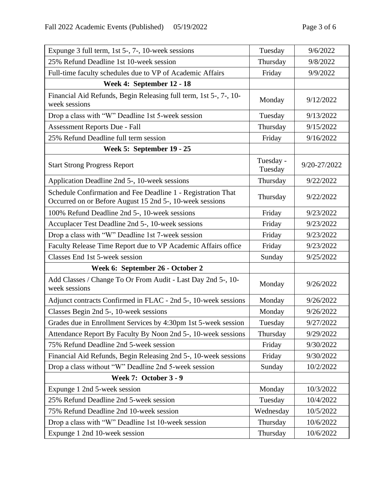| Expunge 3 full term, 1st 5-, 7-, 10-week sessions                                                                        | Tuesday              | 9/6/2022     |
|--------------------------------------------------------------------------------------------------------------------------|----------------------|--------------|
| 25% Refund Deadline 1st 10-week session                                                                                  | Thursday             | 9/8/2022     |
| Full-time faculty schedules due to VP of Academic Affairs                                                                | Friday               | 9/9/2022     |
| Week 4: September 12 - 18                                                                                                |                      |              |
| Financial Aid Refunds, Begin Releasing full term, 1st 5-, 7-, 10-<br>week sessions                                       | Monday               | 9/12/2022    |
| Drop a class with "W" Deadline 1st 5-week session                                                                        | Tuesday              | 9/13/2022    |
| Assessment Reports Due - Fall                                                                                            | Thursday             | 9/15/2022    |
| 25% Refund Deadline full term session                                                                                    | Friday               | 9/16/2022    |
| Week 5: September 19 - 25                                                                                                |                      |              |
| <b>Start Strong Progress Report</b>                                                                                      | Tuesday -<br>Tuesday | 9/20-27/2022 |
| Application Deadline 2nd 5-, 10-week sessions                                                                            | Thursday             | 9/22/2022    |
| Schedule Confirmation and Fee Deadline 1 - Registration That<br>Occurred on or Before August 15 2nd 5-, 10-week sessions | Thursday             | 9/22/2022    |
| 100% Refund Deadline 2nd 5-, 10-week sessions                                                                            | Friday               | 9/23/2022    |
| Accuplacer Test Deadline 2nd 5-, 10-week sessions                                                                        | Friday               | 9/23/2022    |
| Drop a class with "W" Deadline 1st 7-week session                                                                        | Friday               | 9/23/2022    |
| Faculty Release Time Report due to VP Academic Affairs office                                                            | Friday               | 9/23/2022    |
| Classes End 1st 5-week session                                                                                           | Sunday               | 9/25/2022    |
| Week 6: September 26 - October 2                                                                                         |                      |              |
| Add Classes / Change To Or From Audit - Last Day 2nd 5-, 10-<br>week sessions                                            | Monday               | 9/26/2022    |
| Adjunct contracts Confirmed in FLAC - 2nd 5-, 10-week sessions                                                           | Monday               | 9/26/2022    |
| Classes Begin 2nd 5-, 10-week sessions                                                                                   | Monday               | 9/26/2022    |
| Grades due in Enrollment Services by 4:30pm 1st 5-week session                                                           | Tuesday              | 9/27/2022    |
| Attendance Report By Faculty By Noon 2nd 5-, 10-week sessions                                                            | Thursday             | 9/29/2022    |
| 75% Refund Deadline 2nd 5-week session                                                                                   | Friday               | 9/30/2022    |
| Financial Aid Refunds, Begin Releasing 2nd 5-, 10-week sessions                                                          | Friday               | 9/30/2022    |
| Drop a class without "W" Deadline 2nd 5-week session                                                                     | Sunday               | 10/2/2022    |
| <b>Week 7: October 3 - 9</b>                                                                                             |                      |              |
| Expunge 1 2nd 5-week session                                                                                             | Monday               | 10/3/2022    |
| 25% Refund Deadline 2nd 5-week session                                                                                   | Tuesday              | 10/4/2022    |
| 75% Refund Deadline 2nd 10-week session                                                                                  | Wednesday            | 10/5/2022    |
| Drop a class with "W" Deadline 1st 10-week session                                                                       | Thursday             | 10/6/2022    |
| Expunge 1 2nd 10-week session                                                                                            | Thursday             | 10/6/2022    |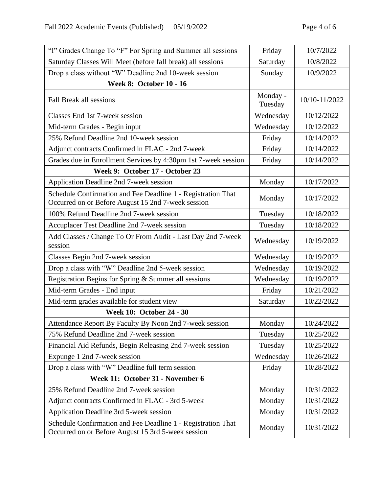| "I" Grades Change To "F" For Spring and Summer all sessions                                                        | Friday              | 10/7/2022     |
|--------------------------------------------------------------------------------------------------------------------|---------------------|---------------|
| Saturday Classes Will Meet (before fall break) all sessions                                                        | Saturday            | 10/8/2022     |
| Drop a class without "W" Deadline 2nd 10-week session                                                              | Sunday              | 10/9/2022     |
| <b>Week 8: October 10 - 16</b>                                                                                     |                     |               |
| Fall Break all sessions                                                                                            | Monday -<br>Tuesday | 10/10-11/2022 |
| Classes End 1st 7-week session                                                                                     | Wednesday           | 10/12/2022    |
| Mid-term Grades - Begin input                                                                                      | Wednesday           | 10/12/2022    |
| 25% Refund Deadline 2nd 10-week session                                                                            | Friday              | 10/14/2022    |
| Adjunct contracts Confirmed in FLAC - 2nd 7-week                                                                   | Friday              | 10/14/2022    |
| Grades due in Enrollment Services by 4:30pm 1st 7-week session                                                     | Friday              | 10/14/2022    |
| Week 9: October 17 - October 23                                                                                    |                     |               |
| Application Deadline 2nd 7-week session                                                                            | Monday              | 10/17/2022    |
| Schedule Confirmation and Fee Deadline 1 - Registration That<br>Occurred on or Before August 15 2nd 7-week session | Monday              | 10/17/2022    |
| 100% Refund Deadline 2nd 7-week session                                                                            | Tuesday             | 10/18/2022    |
| Accuplacer Test Deadline 2nd 7-week session                                                                        | Tuesday             | 10/18/2022    |
| Add Classes / Change To Or From Audit - Last Day 2nd 7-week<br>session                                             | Wednesday           | 10/19/2022    |
| Classes Begin 2nd 7-week session                                                                                   | Wednesday           | 10/19/2022    |
| Drop a class with "W" Deadline 2nd 5-week session                                                                  | Wednesday           | 10/19/2022    |
| Registration Begins for Spring & Summer all sessions                                                               | Wednesday           | 10/19/2022    |
| Mid-term Grades - End input                                                                                        | Friday              | 10/21/2022    |
| Mid-term grades available for student view                                                                         | Saturday            | 10/22/2022    |
| <b>Week 10: October 24 - 30</b>                                                                                    |                     |               |
| Attendance Report By Faculty By Noon 2nd 7-week session                                                            | Monday              | 10/24/2022    |
| 75% Refund Deadline 2nd 7-week session                                                                             | Tuesday             | 10/25/2022    |
| Financial Aid Refunds, Begin Releasing 2nd 7-week session                                                          | Tuesday             | 10/25/2022    |
| Expunge 1 2nd 7-week session                                                                                       | Wednesday           | 10/26/2022    |
| Drop a class with "W" Deadline full term session                                                                   | Friday              | 10/28/2022    |
| Week 11: October 31 - November 6                                                                                   |                     |               |
| 25% Refund Deadline 2nd 7-week session                                                                             | Monday              | 10/31/2022    |
| Adjunct contracts Confirmed in FLAC - 3rd 5-week                                                                   | Monday              | 10/31/2022    |
| Application Deadline 3rd 5-week session                                                                            | Monday              | 10/31/2022    |
| Schedule Confirmation and Fee Deadline 1 - Registration That<br>Occurred on or Before August 15 3rd 5-week session | Monday              | 10/31/2022    |